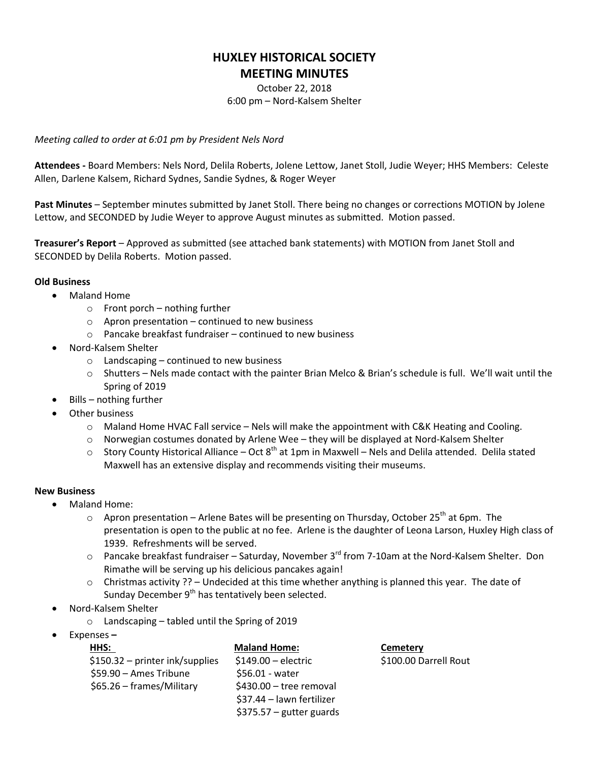## **HUXLEY HISTORICAL SOCIETY MEETING MINUTES**

October 22, 2018 6:00 pm – Nord-Kalsem Shelter

*Meeting called to order at 6:01 pm by President Nels Nord*

**Attendees -** Board Members: Nels Nord, Delila Roberts, Jolene Lettow, Janet Stoll, Judie Weyer; HHS Members: Celeste Allen, Darlene Kalsem, Richard Sydnes, Sandie Sydnes, & Roger Weyer

**Past Minutes** – September minutes submitted by Janet Stoll. There being no changes or corrections MOTION by Jolene Lettow, and SECONDED by Judie Weyer to approve August minutes as submitted. Motion passed.

**Treasurer's Report** – Approved as submitted (see attached bank statements) with MOTION from Janet Stoll and SECONDED by Delila Roberts. Motion passed.

## **Old Business**

- Maland Home
	- $\circ$  Front porch nothing further
	- $\circ$  Apron presentation continued to new business
	- o Pancake breakfast fundraiser continued to new business
- Nord-Kalsem Shelter
	- $\circ$  Landscaping continued to new business
	- o Shutters Nels made contact with the painter Brian Melco & Brian's schedule is full. We'll wait until the Spring of 2019
- Bills nothing further
- Other business
	- $\circ$  Maland Home HVAC Fall service Nels will make the appointment with C&K Heating and Cooling.
	- o Norwegian costumes donated by Arlene Wee they will be displayed at Nord-Kalsem Shelter
	- $\circ$  Story County Historical Alliance Oct 8<sup>th</sup> at 1pm in Maxwell Nels and Delila attended. Delila stated Maxwell has an extensive display and recommends visiting their museums.

## **New Business**

- Maland Home:
	- $\circ$  Apron presentation Arlene Bates will be presenting on Thursday, October 25<sup>th</sup> at 6pm. The presentation is open to the public at no fee. Arlene is the daughter of Leona Larson, Huxley High class of 1939. Refreshments will be served.
	- $\circ$  Pancake breakfast fundraiser Saturday, November 3<sup>rd</sup> from 7-10am at the Nord-Kalsem Shelter. Don Rimathe will be serving up his delicious pancakes again!
	- $\circ$  Christmas activity ?? Undecided at this time whether anything is planned this year. The date of Sunday December  $9<sup>th</sup>$  has tentatively been selected.
- Nord-Kalsem Shelter
	- o Landscaping tabled until the Spring of 2019
- Expenses **–**

|  | HHS:                             | <b>Maland Home:</b>       | Cemetery              |
|--|----------------------------------|---------------------------|-----------------------|
|  | $$150.32$ – printer ink/supplies | $$149.00$ – electric      | \$100.00 Darrell Rout |
|  | \$59.90 - Ames Tribune           | \$56.01 - water           |                       |
|  | \$65.26 – frames/Military        | \$430.00 - tree removal   |                       |
|  |                                  | \$37.44 - lawn fertilizer |                       |
|  |                                  | $$375.57$ – gutter guards |                       |